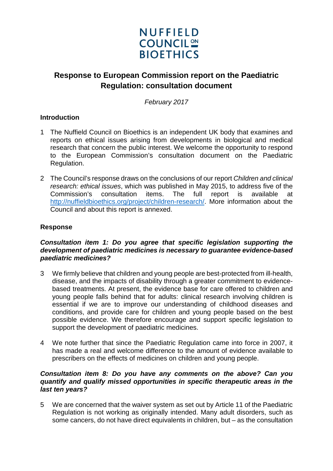

# **Response to European Commission report on the Paediatric Regulation: consultation document**

*February 2017*

## **Introduction**

- 1 The Nuffield Council on Bioethics is an independent UK body that examines and reports on ethical issues arising from developments in biological and medical research that concern the public interest. We welcome the opportunity to respond to the European Commission's consultation document on the Paediatric Regulation.
- 2 The Council's response draws on the conclusions of our report *Children and clinical research: ethical issues*, which was published in May 2015, to address five of the Commission's consultation items. The full report is available at [http://nuffieldbioethics.org/project/children-research/.](http://nuffieldbioethics.org/project/children-research/) More information about the Council and about this report is annexed.

## **Response**

#### *Consultation item 1: Do you agree that specific legislation supporting the development of paediatric medicines is necessary to guarantee evidence-based paediatric medicines?*

- 3 We firmly believe that children and young people are best-protected from ill-health, disease, and the impacts of disability through a greater commitment to evidencebased treatments. At present, the evidence base for care offered to children and young people falls behind that for adults: clinical research involving children is essential if we are to improve our understanding of childhood diseases and conditions, and provide care for children and young people based on the best possible evidence. We therefore encourage and support specific legislation to support the development of paediatric medicines.
- 4 We note further that since the Paediatric Regulation came into force in 2007, it has made a real and welcome difference to the amount of evidence available to prescribers on the effects of medicines on children and young people.

#### *Consultation item 8: Do you have any comments on the above? Can you quantify and qualify missed opportunities in specific therapeutic areas in the last ten years?*

5 We are concerned that the waiver system as set out by Article 11 of the Paediatric Regulation is not working as originally intended. Many adult disorders, such as some cancers, do not have direct equivalents in children, but – as the consultation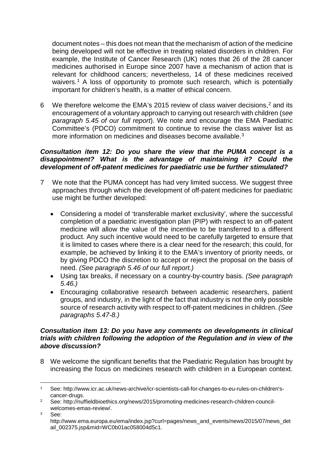document notes – this does not mean that the mechanism of action of the medicine being developed will not be effective in treating related disorders in children. For example, the Institute of Cancer Research (UK) notes that 26 of the 28 cancer medicines authorised in Europe since 2007 have a mechanism of action that is relevant for childhood cancers; nevertheless, 14 of these medicines received waivers.<sup>[1](#page-1-0)</sup> A loss of opportunity to promote such research, which is potentially important for children's health, is a matter of ethical concern.

6 We therefore welcome the EMA's [2](#page-1-1)015 review of class waiver decisions,<sup>2</sup> and its encouragement of a voluntary approach to carrying out research with children (*see paragraph 5.45 of our full report*). We note and encourage the EMA Paediatric Committee's (PDCO) commitment to continue to revise the class waiver list as more information on medicines and diseases become available.<sup>[3](#page-1-2)</sup>

#### *Consultation item 12: Do you share the view that the PUMA concept is a disappointment? What is the advantage of maintaining it? Could the development of off-patent medicines for paediatric use be further stimulated?*

- 7 We note that the PUMA concept has had very limited success. We suggest three approaches through which the development of off-patent medicines for paediatric use might be further developed:
	- Considering a model of 'transferable market exclusivity', where the successful completion of a paediatric investigation plan (PIP) with respect to an off-patent medicine will allow the value of the incentive to be transferred to a different product. Any such incentive would need to be carefully targeted to ensure that it is limited to cases where there is a clear need for the research; this could, for example, be achieved by linking it to the EMA's inventory of priority needs, or by giving PDCO the discretion to accept or reject the proposal on the basis of need. *(See paragraph 5.46 of our full report.)*
	- Using tax breaks, if necessary on a country-by-country basis. *(See paragraph 5.46.)*
	- Encouraging collaborative research between academic researchers, patient groups, and industry, in the light of the fact that industry is not the only possible source of research activity with respect to off-patent medicines in children. *(See paragraphs 5.47-8.)*

#### *Consultation item 13: Do you have any comments on developments in clinical trials with children following the adoption of the Regulation and in view of the above discussion?*

8 We welcome the significant benefits that the Paediatric Regulation has brought by increasing the focus on medicines research with children in a European context.

<span id="page-1-2"></span><sup>3</sup> See:

<span id="page-1-0"></span> <sup>1</sup> See: http://www.icr.ac.uk/news-archive/icr-scientists-call-for-changes-to-eu-rules-on-children'scancer-drugs.

<span id="page-1-1"></span><sup>2</sup> See: http://nuffieldbioethics.org/news/2015/promoting-medicines-research-children-councilwelcomes-emas-review/.

http://www.ema.europa.eu/ema/index.jsp?curl=pages/news\_and\_events/news/2015/07/news\_det ail\_002375.jsp&mid=WC0b01ac058004d5c1.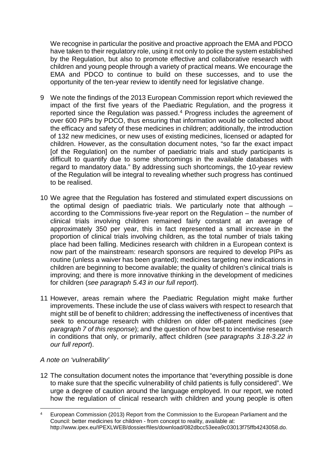We recognise in particular the positive and proactive approach the EMA and PDCO have taken to their regulatory role, using it not only to police the system established by the Regulation, but also to promote effective and collaborative research with children and young people through a variety of practical means. We encourage the EMA and PDCO to continue to build on these successes, and to use the opportunity of the ten-year review to identify need for legislative change.

- 9 We note the findings of the 2013 European Commission report which reviewed the impact of the first five years of the Paediatric Regulation, and the progress it reported since the Regulation was passed. [4](#page-2-0) Progress includes the agreement of over 600 PIPs by PDCO, thus ensuring that information would be collected about the efficacy and safety of these medicines in children; additionally, the introduction of 132 new medicines, or new uses of existing medicines, licensed or adapted for children. However, as the consultation document notes, "so far the exact impact [of the Regulation] on the number of paediatric trials and study participants is difficult to quantify due to some shortcomings in the available databases with regard to mandatory data." By addressing such shortcomings, the 10-year review of the Regulation will be integral to revealing whether such progress has continued to be realised.
- 10 We agree that the Regulation has fostered and stimulated expert discussions on the optimal design of paediatric trials. We particularly note that although – according to the Commissions five-year report on the Regulation – the number of clinical trials involving children remained fairly constant at an average of approximately 350 per year, this in fact represented a small increase in the proportion of clinical trials involving children, as the total number of trials taking place had been falling. Medicines research with children in a European context is now part of the mainstream: research sponsors are required to develop PIPs as routine (unless a waiver has been granted); medicines targeting new indications in children are beginning to become available; the quality of children's clinical trials is improving; and there is more innovative thinking in the development of medicines for children (*see paragraph 5.43 in our full report*).
- 11 However, areas remain where the Paediatric Regulation might make further improvements. These include the use of class waivers with respect to research that might still be of benefit to children; addressing the ineffectiveness of incentives that seek to encourage research with children on older off-patent medicines (*see paragraph 7 of this response*); and the question of how best to incentivise research in conditions that only, or primarily, affect children (*see paragraphs 3.18-3.22 in our full report*).

#### *A note on 'vulnerability'*

12 The consultation document notes the importance that "everything possible is done to make sure that the specific vulnerability of child patients is fully considered". We urge a degree of caution around the language employed. In our report, we noted how the regulation of clinical research with children and young people is often

<span id="page-2-0"></span> <sup>4</sup> European Commission (2013) Report from the Commission to the European Parliament and the Council: better medicines for children - from concept to reality, available at: http://www.ipex.eu/IPEXLWEB/dossier/files/download/082dbcc53eea9c03013f75ffb4243058.do.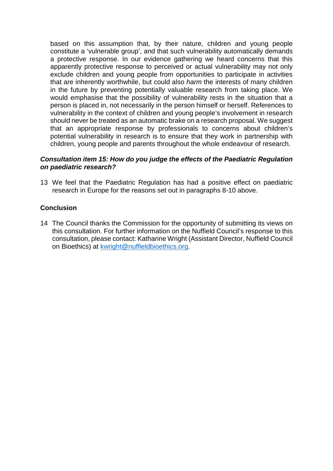based on this assumption that, by their nature, children and young people constitute a 'vulnerable group', and that such vulnerability automatically demands a protective response. In our evidence gathering we heard concerns that this apparently protective response to perceived or actual vulnerability may not only exclude children and young people from opportunities to participate in activities that are inherently worthwhile, but could also *harm* the interests of many children in the future by preventing potentially valuable research from taking place. We would emphasise that the possibility of vulnerability rests in the situation that a person is placed in, not necessarily in the person himself or herself. References to vulnerability in the context of children and young people's involvement in research should never be treated as an automatic brake on a research proposal. We suggest that an appropriate response by professionals to concerns about children's potential vulnerability in research is to ensure that they work in partnership with children, young people and parents throughout the whole endeavour of research.

#### *Consultation item 15: How do you judge the effects of the Paediatric Regulation on paediatric research?*

13 We feel that the Paediatric Regulation has had a positive effect on paediatric research in Europe for the reasons set out in paragraphs 8-10 above.

## **Conclusion**

14 The Council thanks the Commission for the opportunity of submitting its views on this consultation. For further information on the Nuffield Council's response to this consultation, please contact: Katharine Wright (Assistant Director, Nuffield Council on Bioethics) at [kwright@nuffieldbioethics.org.](mailto:kwright@nuffieldbioethics.org)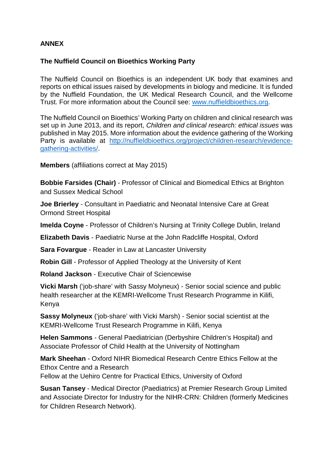# **ANNEX**

# **The Nuffield Council on Bioethics Working Party**

The Nuffield Council on Bioethics is an independent UK body that examines and reports on ethical issues raised by developments in biology and medicine. It is funded by the Nuffield Foundation, the UK Medical Research Council, and the Wellcome Trust. For more information about the Council see: [www.nuffieldbioethics.org.](http://www.nuffieldbioethics.org/)

The Nuffield Council on Bioethics' Working Party on children and clinical research was set up in June 2013, and its report, *Children and clinical research: ethical issues* was published in May 2015. More information about the evidence gathering of the Working Party is available at [http://nuffieldbioethics.org/project/children-research/evidence](http://nuffieldbioethics.org/project/children-research/evidence-gathering-activities/)[gathering-activities/.](http://nuffieldbioethics.org/project/children-research/evidence-gathering-activities/)

**Members** (affiliations correct at May 2015)

**Bobbie Farsides (Chair)** - Professor of Clinical and Biomedical Ethics at Brighton and Sussex Medical School

**Joe Brierley** - Consultant in Paediatric and Neonatal Intensive Care at Great Ormond Street Hospital

**Imelda Coyne** - Professor of Children's Nursing at Trinity College Dublin, Ireland

**Elizabeth Davis** - Paediatric Nurse at the John Radcliffe Hospital, Oxford

**Sara Fovargue** - Reader in Law at Lancaster University

**Robin Gill** - Professor of Applied Theology at the University of Kent

**Roland Jackson** - Executive Chair of Sciencewise

**Vicki Marsh** ('job-share' with Sassy Molyneux) - Senior social science and public health researcher at the KEMRI-Wellcome Trust Research Programme in Kilifi, Kenya

**Sassy Molyneux** ('job-share' with Vicki Marsh) - Senior social scientist at the KEMRI-Wellcome Trust Research Programme in Kilifi, Kenya

**Helen Sammons** - General Paediatrician (Derbyshire Children's Hospital) and Associate Professor of Child Health at the University of Nottingham

**Mark Sheehan** - Oxford NIHR Biomedical Research Centre Ethics Fellow at the Ethox Centre and a Research

Fellow at the Uehiro Centre for Practical Ethics, University of Oxford

**Susan Tansey** - Medical Director (Paediatrics) at Premier Research Group Limited and Associate Director for Industry for the NIHR-CRN: Children (formerly Medicines for Children Research Network).